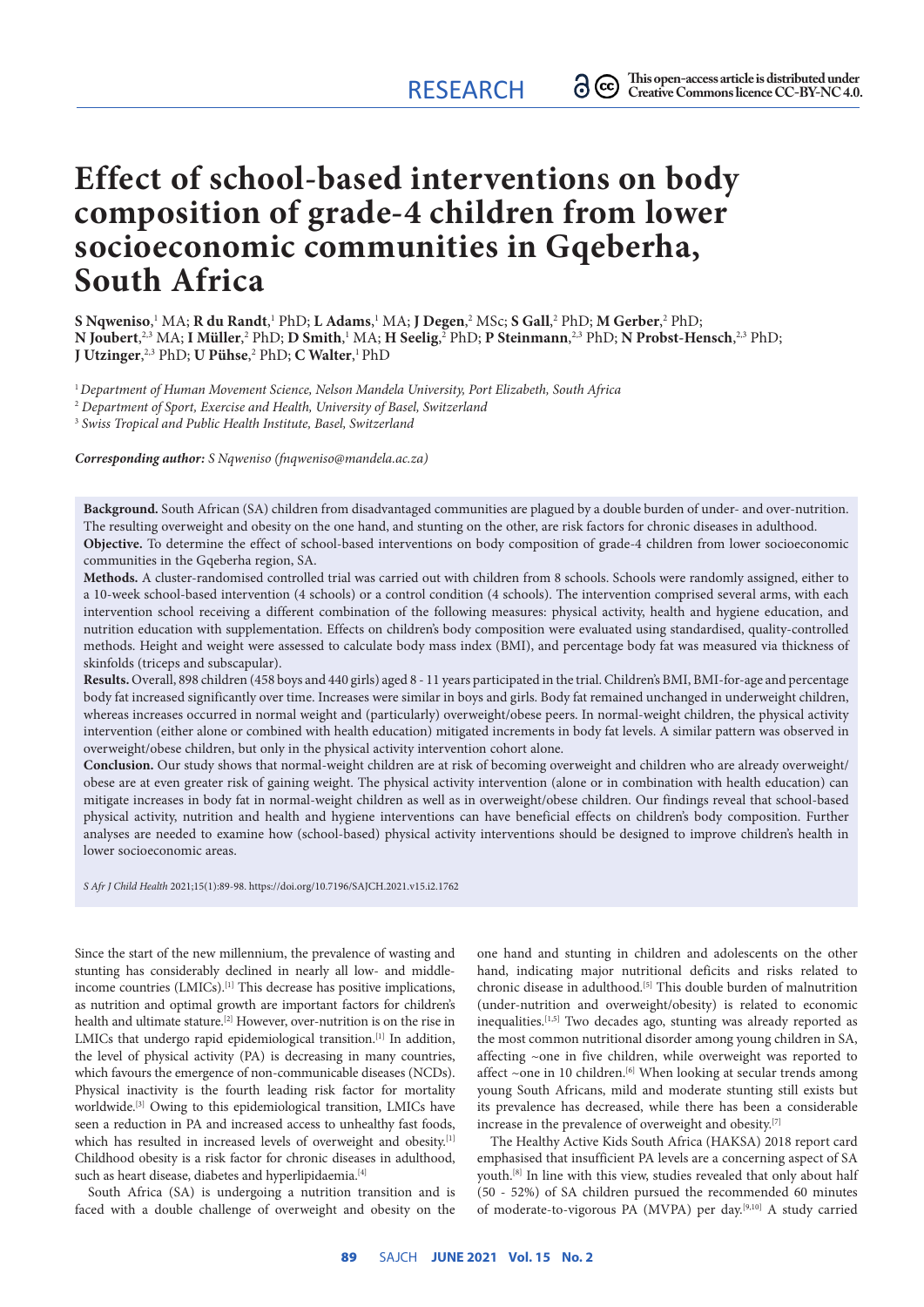# **Effect of school-based interventions on body composition of grade-4 children from lower socioeconomic communities in Gqeberha, South Africa**

 ${\bf S}$  Nqweniso,'  ${\rm MA}$ ;  ${\bf R}$  du Randt,'  ${\rm PhD; \bf L}$  Adams,'  ${\rm MA; \bf J}$  Degen, $^2$  MSc;  ${\bf S}$  Gall, $^2$  PhD;  ${\bf M}$  Gerber, $^2$  PhD;  $N$  Joubert, $^{2,3}$  MA; I Müller, $^2$  PhD; D Smith, $^1$  MA; H Seelig, $^2$  PhD; P Steinmann, $^{2,3}$  PhD;  $N$  Probst-Hensch, $^{2,3}$  PhD; **J Utzinger**, 2,3 PhD; **U Pühse**, 2 PhD; **C Walter**, 1 PhD

<sup>1</sup>*Department of Human Movement Science, Nelson Mandela University, Port Elizabeth, South Africa*

<sup>2</sup> *Department of Sport, Exercise and Health, University of Basel, Switzerland*

<sup>3</sup> *Swiss Tropical and Public Health Institute, Basel, Switzerland*

*Corresponding author: S Nqweniso ([fnqweniso@mandela.ac.za\)](mailto:fnqweniso@mandela.ac.za)*

**Background.** South African (SA) children from disadvantaged communities are plagued by a double burden of under- and over-nutrition. The resulting overweight and obesity on the one hand, and stunting on the other, are risk factors for chronic diseases in adulthood. **Objective.** To determine the effect of school-based interventions on body composition of grade-4 children from lower socioeconomic communities in the Gqeberha region, SA.

**Methods.** A cluster-randomised controlled trial was carried out with children from 8 schools. Schools were randomly assigned, either to a 10-week school-based intervention (4 schools) or a control condition (4 schools). The intervention comprised several arms, with each intervention school receiving a different combination of the following measures: physical activity, health and hygiene education, and nutrition education with supplementation. Effects on children's body composition were evaluated using standardised, quality-controlled methods. Height and weight were assessed to calculate body mass index (BMI), and percentage body fat was measured via thickness of skinfolds (triceps and subscapular).

**Results.** Overall, 898 children (458 boys and 440 girls) aged 8 - 11 years participated in the trial. Children's BMI, BMI-for-age and percentage body fat increased significantly over time. Increases were similar in boys and girls. Body fat remained unchanged in underweight children, whereas increases occurred in normal weight and (particularly) overweight/obese peers. In normal-weight children, the physical activity intervention (either alone or combined with health education) mitigated increments in body fat levels. A similar pattern was observed in overweight/obese children, but only in the physical activity intervention cohort alone.

**Conclusion.** Our study shows that normal-weight children are at risk of becoming overweight and children who are already overweight/ obese are at even greater risk of gaining weight. The physical activity intervention (alone or in combination with health education) can mitigate increases in body fat in normal-weight children as well as in overweight/obese children. Our findings reveal that school-based physical activity, nutrition and health and hygiene interventions can have beneficial effects on children's body composition. Further analyses are needed to examine how (school-based) physical activity interventions should be designed to improve children's health in lower socioeconomic areas.

*S Afr J Child Health* 2021;15(1):89-98. [https://doi.org/10.7196/SAJCH.2021.v15.i2.1762](https://doi.org/10.7196/SAJCH.2021.v15.i1.1762)

Since the start of the new millennium, the prevalence of wasting and stunting has considerably declined in nearly all low- and middleincome countries (LMICs).[1] This decrease has positive implications, as nutrition and optimal growth are important factors for children's health and ultimate stature.[2] However, over-nutrition is on the rise in LMICs that undergo rapid epidemiological transition.<sup>[1]</sup> In addition, the level of physical activity (PA) is decreasing in many countries, which favours the emergence of non-communicable diseases (NCDs). Physical inactivity is the fourth leading risk factor for mortality worldwide.[3] Owing to this epidemiological transition, LMICs have seen a reduction in PA and increased access to unhealthy fast foods, which has resulted in increased levels of overweight and obesity.[1] Childhood obesity is a risk factor for chronic diseases in adulthood, such as heart disease, diabetes and hyperlipidaemia.<sup>[4]</sup>

South Africa (SA) is undergoing a nutrition transition and is faced with a double challenge of overweight and obesity on the one hand and stunting in children and adolescents on the other hand, indicating major nutritional deficits and risks related to chronic disease in adulthood.[5] This double burden of malnutrition (under-nutrition and overweight/obesity) is related to economic inequalities.<sup>[1,5]</sup> Two decades ago, stunting was already reported as the most common nutritional disorder among young children in SA, affecting ~one in five children, while overweight was reported to affect ~one in 10 children.<sup>[6]</sup> When looking at secular trends among young South Africans, mild and moderate stunting still exists but its prevalence has decreased, while there has been a considerable increase in the prevalence of overweight and obesity.[7]

The Healthy Active Kids South Africa (HAKSA) 2018 report card emphasised that insufficient PA levels are a concerning aspect of SA youth.[8] In line with this view, studies revealed that only about half (50 - 52%) of SA children pursued the recommended 60 minutes of moderate-to-vigorous PA (MVPA) per day.<sup>[9,10]</sup> A study carried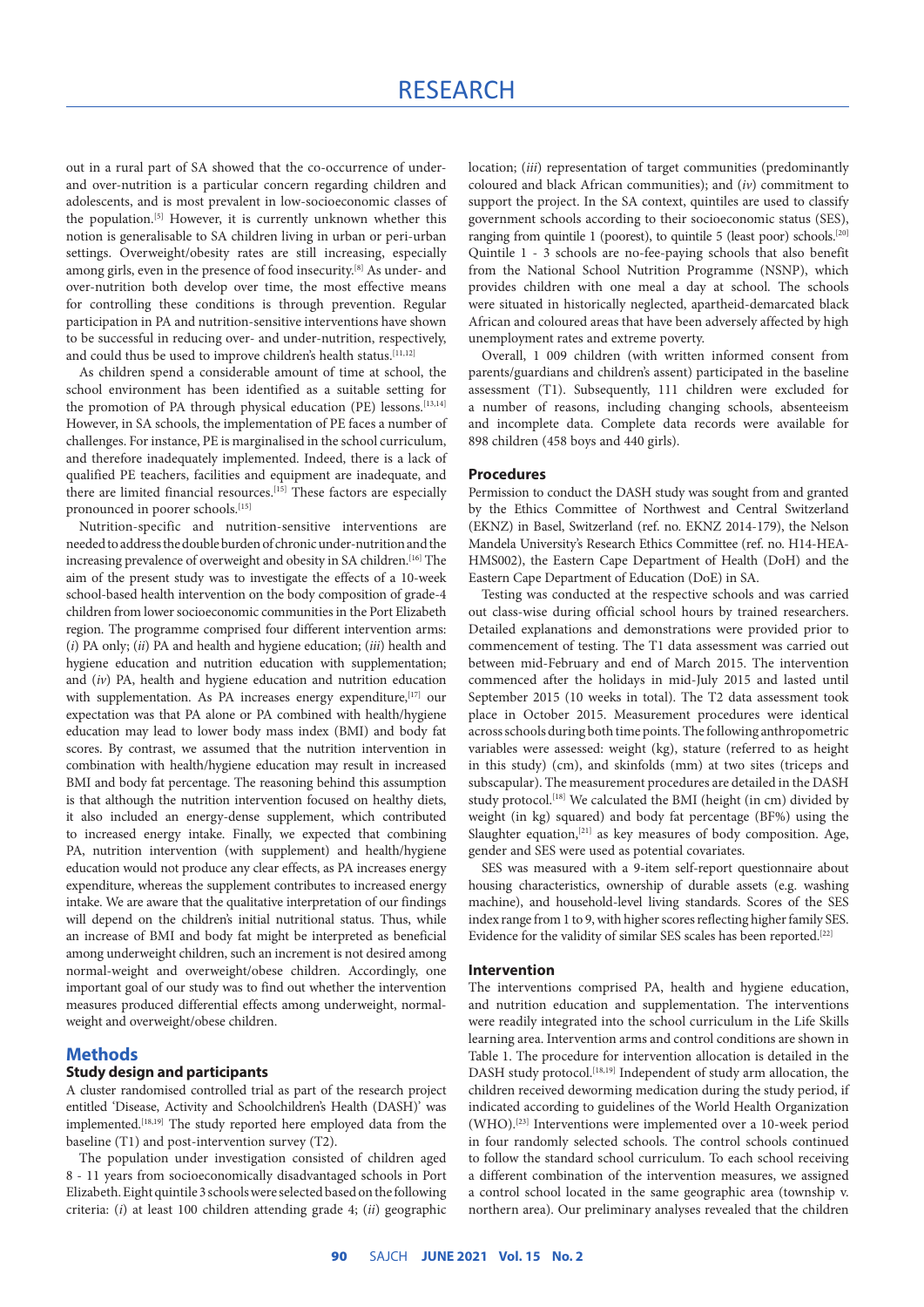out in a rural part of SA showed that the co-occurrence of underand over-nutrition is a particular concern regarding children and adolescents, and is most prevalent in low-socioeconomic classes of the population.[5] However, it is currently unknown whether this notion is generalisable to SA children living in urban or peri-urban settings. Overweight/obesity rates are still increasing, especially among girls, even in the presence of food insecurity.[8] As under- and over-nutrition both develop over time, the most effective means for controlling these conditions is through prevention. Regular participation in PA and nutrition-sensitive interventions have shown to be successful in reducing over- and under-nutrition, respectively, and could thus be used to improve children's health status.<sup>[11,12]</sup>

As children spend a considerable amount of time at school, the school environment has been identified as a suitable setting for the promotion of PA through physical education (PE) lessons.<sup>[13,14]</sup> However, in SA schools, the implementation of PE faces a number of challenges. For instance, PE is marginalised in the school curriculum, and therefore inadequately implemented. Indeed, there is a lack of qualified PE teachers, facilities and equipment are inadequate, and there are limited financial resources.[15] These factors are especially pronounced in poorer schools.<sup>[15]</sup>

Nutrition-specific and nutrition-sensitive interventions are needed to address the double burden of chronic under-nutrition and the increasing prevalence of overweight and obesity in SA children.<sup>[16]</sup> The aim of the present study was to investigate the effects of a 10-week school-based health intervention on the body composition of grade-4 children from lower socioeconomic communities in the Port Elizabeth region. The programme comprised four different intervention arms: (*i*) PA only; (*ii*) PA and health and hygiene education; (*iii*) health and hygiene education and nutrition education with supplementation; and (*iv*) PA, health and hygiene education and nutrition education with supplementation. As PA increases energy expenditure, [17] our expectation was that PA alone or PA combined with health/hygiene education may lead to lower body mass index (BMI) and body fat scores. By contrast, we assumed that the nutrition intervention in combination with health/hygiene education may result in increased BMI and body fat percentage. The reasoning behind this assumption is that although the nutrition intervention focused on healthy diets, it also included an energy-dense supplement, which contributed to increased energy intake. Finally, we expected that combining PA, nutrition intervention (with supplement) and health/hygiene education would not produce any clear effects, as PA increases energy expenditure, whereas the supplement contributes to increased energy intake. We are aware that the qualitative interpretation of our findings will depend on the children's initial nutritional status. Thus, while an increase of BMI and body fat might be interpreted as beneficial among underweight children, such an increment is not desired among normal-weight and overweight/obese children. Accordingly, one important goal of our study was to find out whether the intervention measures produced differential effects among underweight, normalweight and overweight/obese children.

# **Methods**

# **Study design and participants**

A cluster randomised controlled trial as part of the research project entitled 'Disease, Activity and Schoolchildren's Health (DASH)' was implemented.<sup>[18,19]</sup> The study reported here employed data from the baseline (T1) and post-intervention survey (T2).

The population under investigation consisted of children aged 8 - 11 years from socioeconomically disadvantaged schools in Port Elizabeth. Eight quintile 3 schools were selected based on the following criteria: (*i*) at least 100 children attending grade 4; (*ii*) geographic location; (*iii*) representation of target communities (predominantly coloured and black African communities); and (*iv*) commitment to support the project. In the SA context, quintiles are used to classify government schools according to their socioeconomic status (SES), ranging from quintile 1 (poorest), to quintile 5 (least poor) schools.<sup>[20]</sup> Quintile 1 - 3 schools are no-fee-paying schools that also benefit from the National School Nutrition Programme (NSNP), which provides children with one meal a day at school. The schools were situated in historically neglected, apartheid-demarcated black African and coloured areas that have been adversely affected by high unemployment rates and extreme poverty.

Overall, 1 009 children (with written informed consent from parents/guardians and children's assent) participated in the baseline assessment (T1). Subsequently, 111 children were excluded for a number of reasons, including changing schools, absenteeism and incomplete data. Complete data records were available for 898 children (458 boys and 440 girls).

#### **Procedures**

Permission to conduct the DASH study was sought from and granted by the Ethics Committee of Northwest and Central Switzerland (EKNZ) in Basel, Switzerland (ref. no. EKNZ 2014-179), the Nelson Mandela University's Research Ethics Committee (ref. no. H14-HEA-HMS002), the Eastern Cape Department of Health (DoH) and the Eastern Cape Department of Education (DoE) in SA.

Testing was conducted at the respective schools and was carried out class-wise during official school hours by trained researchers. Detailed explanations and demonstrations were provided prior to commencement of testing. The T1 data assessment was carried out between mid-February and end of March 2015. The intervention commenced after the holidays in mid-July 2015 and lasted until September 2015 (10 weeks in total). The T2 data assessment took place in October 2015. Measurement procedures were identical across schools during both time points. The following anthropometric variables were assessed: weight (kg), stature (referred to as height in this study) (cm), and skinfolds (mm) at two sites (triceps and subscapular). The measurement procedures are detailed in the DASH study protocol.<sup>[18]</sup> We calculated the BMI (height (in cm) divided by weight (in kg) squared) and body fat percentage (BF%) using the Slaughter equation,<sup>[21]</sup> as key measures of body composition. Age, gender and SES were used as potential covariates.

SES was measured with a 9-item self-report questionnaire about housing characteristics, ownership of durable assets (e.g. washing machine), and household-level living standards. Scores of the SES index range from 1 to 9, with higher scores reflecting higher family SES. Evidence for the validity of similar SES scales has been reported.<sup>[22]</sup>

#### **Intervention**

The interventions comprised PA, health and hygiene education, and nutrition education and supplementation. The interventions were readily integrated into the school curriculum in the Life Skills learning area. Intervention arms and control conditions are shown in Table 1. The procedure for intervention allocation is detailed in the DASH study protocol.<sup>[18,19]</sup> Independent of study arm allocation, the children received deworming medication during the study period, if indicated according to guidelines of the World Health Organization (WHO).[23] Interventions were implemented over a 10-week period in four randomly selected schools. The control schools continued to follow the standard school curriculum. To each school receiving a different combination of the intervention measures, we assigned a control school located in the same geographic area (township v. northern area). Our preliminary analyses revealed that the children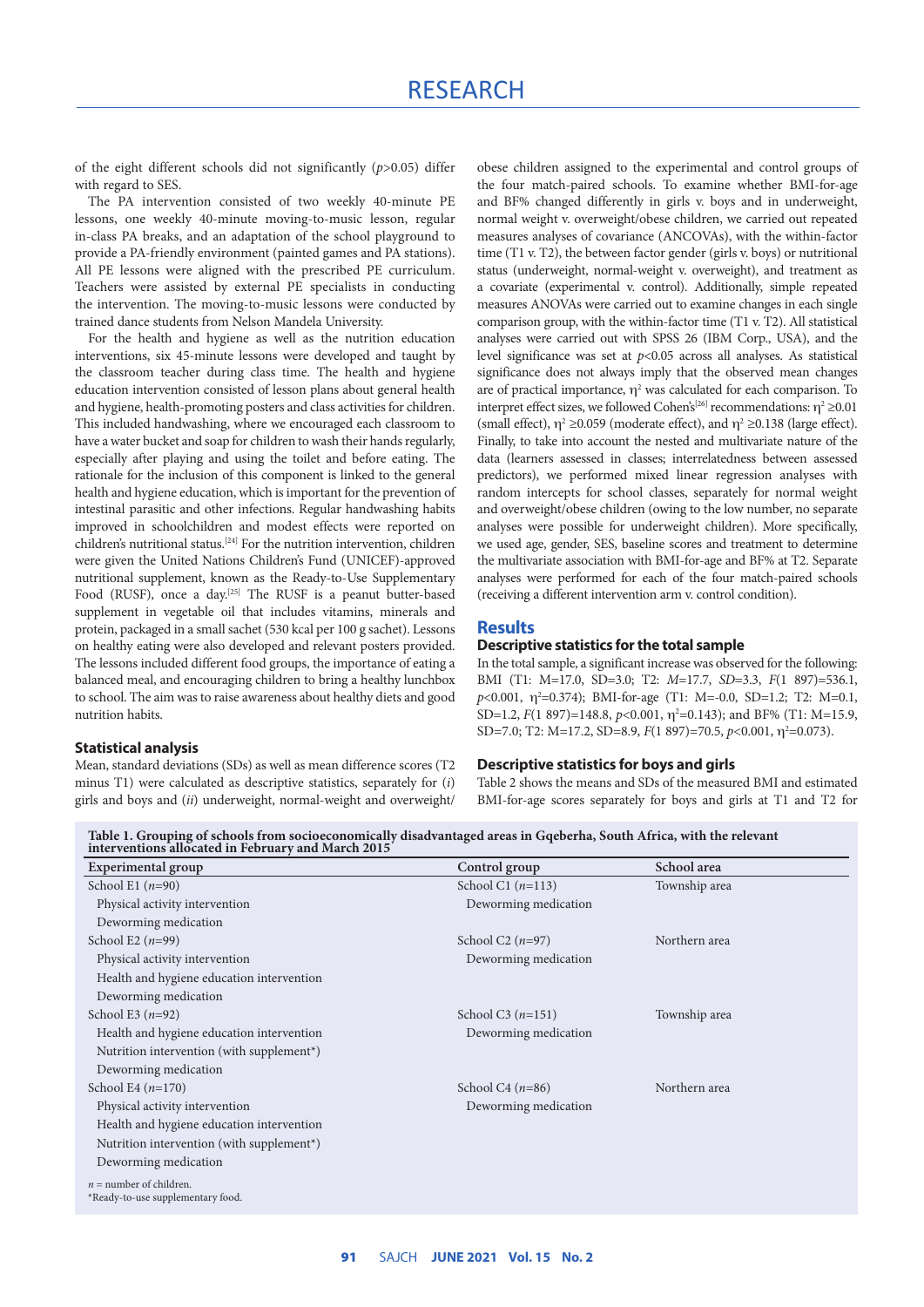of the eight different schools did not significantly (*p*>0.05) differ with regard to SES.

The PA intervention consisted of two weekly 40-minute PE lessons, one weekly 40-minute moving-to-music lesson, regular in-class PA breaks, and an adaptation of the school playground to provide a PA-friendly environment (painted games and PA stations). All PE lessons were aligned with the prescribed PE curriculum. Teachers were assisted by external PE specialists in conducting the intervention. The moving-to-music lessons were conducted by trained dance students from Nelson Mandela University.

For the health and hygiene as well as the nutrition education interventions, six 45-minute lessons were developed and taught by the classroom teacher during class time. The health and hygiene education intervention consisted of lesson plans about general health and hygiene, health-promoting posters and class activities for children. This included handwashing, where we encouraged each classroom to have a water bucket and soap for children to wash their hands regularly, especially after playing and using the toilet and before eating. The rationale for the inclusion of this component is linked to the general health and hygiene education, which is important for the prevention of intestinal parasitic and other infections. Regular handwashing habits improved in schoolchildren and modest effects were reported on children's nutritional status.[24] For the nutrition intervention, children were given the United Nations Children's Fund (UNICEF)-approved nutritional supplement, known as the Ready-to-Use Supplementary Food (RUSF), once a day.<sup>[25]</sup> The RUSF is a peanut butter-based supplement in vegetable oil that includes vitamins, minerals and protein, packaged in a small sachet (530 kcal per 100 g sachet). Lessons on healthy eating were also developed and relevant posters provided. The lessons included different food groups, the importance of eating a balanced meal, and encouraging children to bring a healthy lunchbox to school. The aim was to raise awareness about healthy diets and good nutrition habits.

#### **Statistical analysis**

Mean, standard deviations (SDs) as well as mean difference scores (T2 minus T1) were calculated as descriptive statistics, separately for (*i*) girls and boys and (*ii*) underweight, normal-weight and overweight/ obese children assigned to the experimental and control groups of the four match-paired schools. To examine whether BMI-for-age and BF% changed differently in girls v. boys and in underweight, normal weight v. overweight/obese children, we carried out repeated measures analyses of covariance (ANCOVAs), with the within-factor time (T1 v. T2), the between factor gender (girls v. boys) or nutritional status (underweight, normal-weight v. overweight), and treatment as a covariate (experimental v. control). Additionally, simple repeated measures ANOVAs were carried out to examine changes in each single comparison group, with the within-factor time (T1 v. T2). All statistical analyses were carried out with SPSS 26 (IBM Corp., USA), and the level significance was set at *p*<0.05 across all analyses. As statistical significance does not always imply that the observed mean changes are of practical importance,  $\eta^2$  was calculated for each comparison. To interpret effect sizes, we followed Cohen's<sup>[26]</sup> recommendations:  $\eta^2 \ge 0.01$ (small effect),  $\eta^2 \ge 0.059$  (moderate effect), and  $\eta^2 \ge 0.138$  (large effect). Finally, to take into account the nested and multivariate nature of the data (learners assessed in classes; interrelatedness between assessed predictors), we performed mixed linear regression analyses with random intercepts for school classes, separately for normal weight and overweight/obese children (owing to the low number, no separate analyses were possible for underweight children). More specifically, we used age, gender, SES, baseline scores and treatment to determine the multivariate association with BMI-for-age and BF% at T2. Separate analyses were performed for each of the four match-paired schools (receiving a different intervention arm v. control condition).

#### **Results**

### **Descriptive statistics for the total sample**

In the total sample, a significant increase was observed for the following: BMI (T1: M=17.0, SD=3.0; T2: *M*=17.7, *SD*=3.3, *F*(1 897)=536.1, p<0.001, η<sup>2</sup>=0.374); BMI-for-age (T1: M=-0.0, SD=1.2; T2: M=0.1, SD=1.2, *F*(1 897)=148.8, *p*<0.001, η<sup>2</sup>=0.143); and BF% (T1: M=15.9, SD=7.0; T2: M=17.2, SD=8.9, *F*(1 897)=70.5, *p*<0.001, η<sup>2</sup>=0.073).

#### **Descriptive statistics for boys and girls**

Table 2 shows the means and SDs of the measured BMI and estimated BMI-for-age scores separately for boys and girls at T1 and T2 for

| interventions allocated in February and March 2015             |                                |               |
|----------------------------------------------------------------|--------------------------------|---------------|
| Experimental group                                             | Control group                  | School area   |
| School E1 $(n=90)$                                             | School C1 $(n=113)$            | Township area |
| Physical activity intervention                                 | Deworming medication           |               |
| Deworming medication                                           |                                |               |
| School E2 $(n=99)$                                             | School C <sub>2</sub> $(n=97)$ | Northern area |
| Physical activity intervention                                 | Deworming medication           |               |
| Health and hygiene education intervention                      |                                |               |
| Deworming medication                                           |                                |               |
| School E3 $(n=92)$                                             | School C3 $(n=151)$            | Township area |
| Health and hygiene education intervention                      | Deworming medication           |               |
| Nutrition intervention (with supplement*)                      |                                |               |
| Deworming medication                                           |                                |               |
| School E4 $(n=170)$                                            | School C4 $(n=86)$             | Northern area |
| Physical activity intervention                                 | Deworming medication           |               |
| Health and hygiene education intervention                      |                                |               |
| Nutrition intervention (with supplement*)                      |                                |               |
| Deworming medication                                           |                                |               |
| $n =$ number of children.<br>*Ready-to-use supplementary food. |                                |               |
|                                                                |                                |               |

**Table 1. Grouping of schools from socioeconomically disadvantaged areas in Gqeberha, South Africa, with the relevant**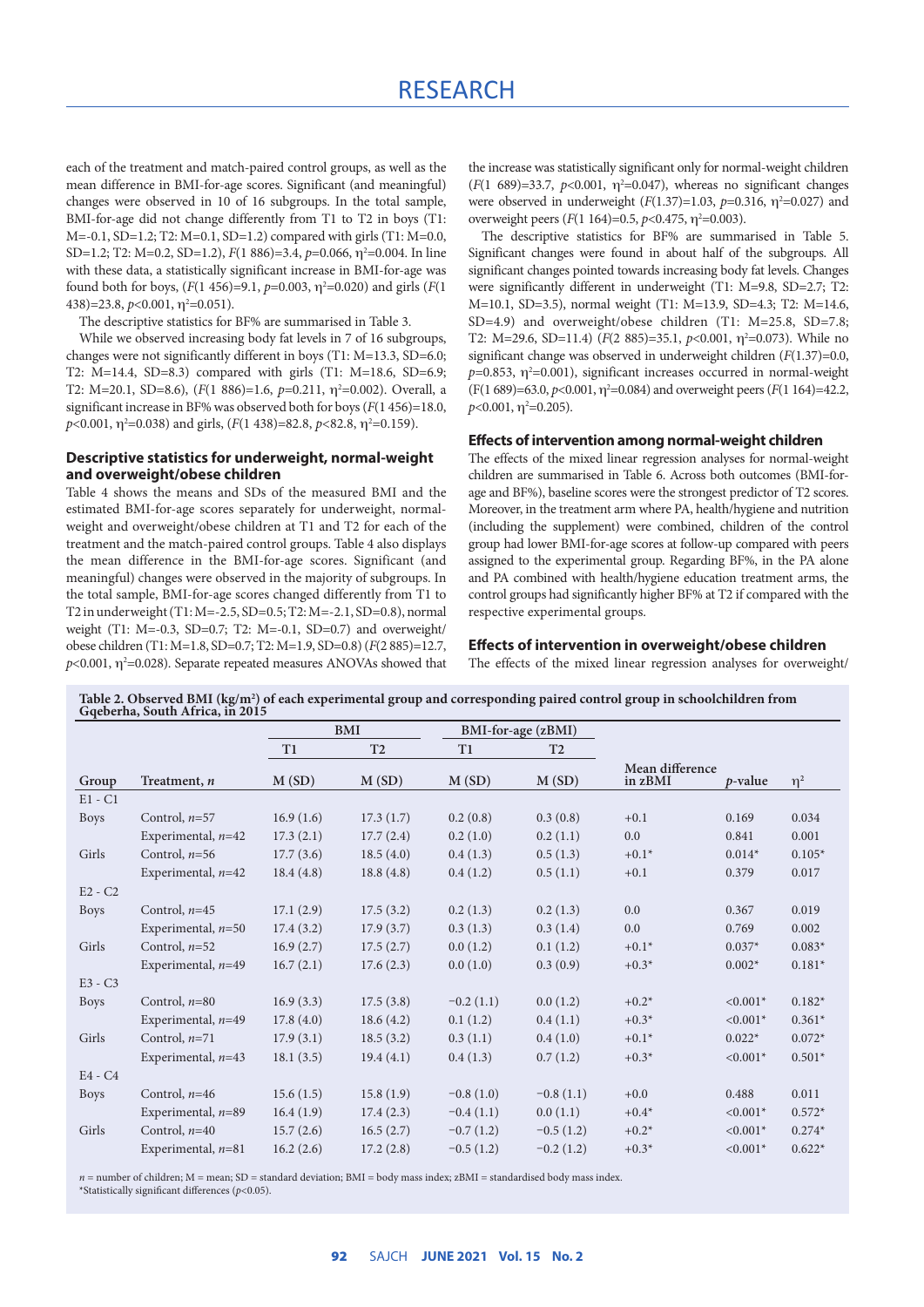each of the treatment and match-paired control groups, as well as the mean difference in BMI-for-age scores. Significant (and meaningful) changes were observed in 10 of 16 subgroups. In the total sample, BMI-for-age did not change differently from T1 to T2 in boys (T1: M=-0.1, SD=1.2; T2: M=0.1, SD=1.2) compared with girls (T1: M=0.0, SD=1.2; T2: M=0.2, SD=1.2), *F*(1 886)=3.4, *p*=0.066, η<sup>2</sup>=0.004. In line with these data, a statistically significant increase in BMI-for-age was found both for boys,  $(F(1\ 456)=9.1, p=0.003, \eta^2=0.020)$  and girls  $(F(1$  $(438)=23.8, p<0.001, \eta^2=0.051$ .

The descriptive statistics for BF% are summarised in Table 3.

While we observed increasing body fat levels in 7 of 16 subgroups, changes were not significantly different in boys (T1: M=13.3, SD=6.0; T2: M=14.4, SD=8.3) compared with girls (T1: M=18.6, SD=6.9; T2: M=20.1, SD=8.6),  $(F(1 886)=1.6, p=0.211, \eta^2=0.002)$ . Overall, a significant increase in BF% was observed both for boys (*F*(1 456)=18.0, *p*<0.001, η²=0.038) and girls, (*F*(1 438)=82.8, *p*<82.8, η²=0.159).

### **Descriptive statistics for underweight, normal-weight and overweight/obese children**

Table 4 shows the means and SDs of the measured BMI and the estimated BMI-for-age scores separately for underweight, normalweight and overweight/obese children at T1 and T2 for each of the treatment and the match-paired control groups. Table 4 also displays the mean difference in the BMI-for-age scores. Significant (and meaningful) changes were observed in the majority of subgroups. In the total sample, BMI-for-age scores changed differently from T1 to T2 in underweight (T1: M=-2.5, SD=0.5; T2: M=-2.1, SD=0.8), normal weight (T1: M=-0.3, SD=0.7; T2: M=-0.1, SD=0.7) and overweight/ obese children (T1: M=1.8, SD=0.7; T2: M=1.9, SD=0.8) (*F*(2 885)=12.7,  $p$ <0.001,  $\eta$ <sup>2</sup>=0.028). Separate repeated measures ANOVAs showed that the increase was statistically significant only for normal-weight children  $(F(1 689)=33.7, p<0.001, \eta^2=0.047)$ , whereas no significant changes were observed in underweight  $(F(1.37)=1.03, p=0.316, \eta^2=0.027)$  and overweight peers ( $F(1\ 164)=0.5$ ,  $p<0.475$ ,  $\eta^2=0.003$ ).

The descriptive statistics for BF% are summarised in Table 5. Significant changes were found in about half of the subgroups. All significant changes pointed towards increasing body fat levels. Changes were significantly different in underweight (T1: M=9.8, SD=2.7; T2: M=10.1, SD=3.5), normal weight (T1: M=13.9, SD=4.3; T2: M=14.6, SD=4.9) and overweight/obese children (T1: M=25.8, SD=7.8; T2: M=29.6, SD=11.4) ( $F(2 885)=35.1$ ,  $p<0.001$ ,  $\eta^2=0.073$ ). While no significant change was observed in underweight children (*F*(1.37)=0.0,  $p=0.853$ ,  $\eta^2=0.001$ ), significant increases occurred in normal-weight  $(F(1\ 689)=63.0, p<0.001, \eta^2=0.084)$  and overweight peers  $(F(1\ 164)=42.2,$  $p<$ 0.001,  $\eta$ <sup>2</sup>=0.205).

#### **Effects of intervention among normal-weight children**

The effects of the mixed linear regression analyses for normal-weight children are summarised in Table 6. Across both outcomes (BMI-forage and BF%), baseline scores were the strongest predictor of T2 scores. Moreover, in the treatment arm where PA, health/hygiene and nutrition (including the supplement) were combined, children of the control group had lower BMI-for-age scores at follow-up compared with peers assigned to the experimental group. Regarding BF%, in the PA alone and PA combined with health/hygiene education treatment arms, the control groups had significantly higher BF% at T2 if compared with the respective experimental groups.

#### **Effects of intervention in overweight/obese children**

The effects of the mixed linear regression analyses for overweight/

|             |                      | <b>BMI</b> |                |             | BMI-for-age (zBMI) |                            |            |          |
|-------------|----------------------|------------|----------------|-------------|--------------------|----------------------------|------------|----------|
|             |                      | T1         | T <sub>2</sub> | T1          | T <sub>2</sub>     |                            |            |          |
| Group       | Treatment, n         | M(SD)      | M(SD)          | M(SD)       | M(SD)              | Mean difference<br>in zBMI | p-value    | $\eta^2$ |
| $E1 - C1$   |                      |            |                |             |                    |                            |            |          |
| <b>Boys</b> | Control, $n=57$      | 16.9(1.6)  | 17.3(1.7)      | 0.2(0.8)    | 0.3(0.8)           | $+0.1$                     | 0.169      | 0.034    |
|             | Experimental, $n=42$ | 17.3(2.1)  | 17.7(2.4)      | 0.2(1.0)    | 0.2(1.1)           | 0.0                        | 0.841      | 0.001    |
| Girls       | Control, $n=56$      | 17.7(3.6)  | 18.5(4.0)      | 0.4(1.3)    | 0.5(1.3)           | $+0.1*$                    | $0.014*$   | $0.105*$ |
|             | Experimental, $n=42$ | 18.4(4.8)  | 18.8(4.8)      | 0.4(1.2)    | 0.5(1.1)           | $+0.1$                     | 0.379      | 0.017    |
| $E2 - C2$   |                      |            |                |             |                    |                            |            |          |
| <b>Boys</b> | Control, $n=45$      | 17.1(2.9)  | 17.5(3.2)      | 0.2(1.3)    | 0.2(1.3)           | 0.0                        | 0.367      | 0.019    |
|             | Experimental, $n=50$ | 17.4(3.2)  | 17.9(3.7)      | 0.3(1.3)    | 0.3(1.4)           | 0.0                        | 0.769      | 0.002    |
| Girls       | Control, $n=52$      | 16.9(2.7)  | 17.5(2.7)      | 0.0(1.2)    | 0.1(1.2)           | $+0.1*$                    | $0.037*$   | $0.083*$ |
|             | Experimental, $n=49$ | 16.7(2.1)  | 17.6(2.3)      | 0.0(1.0)    | 0.3(0.9)           | $+0.3*$                    | $0.002*$   | $0.181*$ |
| $E3 - C3$   |                      |            |                |             |                    |                            |            |          |
| <b>Boys</b> | Control, $n=80$      | 16.9(3.3)  | 17.5(3.8)      | $-0.2(1.1)$ | 0.0(1.2)           | $+0.2*$                    | $< 0.001*$ | $0.182*$ |
|             | Experimental, $n=49$ | 17.8(4.0)  | 18.6(4.2)      | 0.1(1.2)    | 0.4(1.1)           | $+0.3*$                    | $< 0.001*$ | $0.361*$ |
| Girls       | Control, $n=71$      | 17.9(3.1)  | 18.5(3.2)      | 0.3(1.1)    | 0.4(1.0)           | $+0.1*$                    | $0.022*$   | $0.072*$ |
|             | Experimental, $n=43$ | 18.1(3.5)  | 19.4(4.1)      | 0.4(1.3)    | 0.7(1.2)           | $+0.3*$                    | $< 0.001*$ | $0.501*$ |
| $E4 - C4$   |                      |            |                |             |                    |                            |            |          |
| Boys        | Control, $n=46$      | 15.6(1.5)  | 15.8(1.9)      | $-0.8(1.0)$ | $-0.8(1.1)$        | $+0.0$                     | 0.488      | 0.011    |
|             | Experimental, $n=89$ | 16.4(1.9)  | 17.4(2.3)      | $-0.4(1.1)$ | 0.0(1.1)           | $+0.4*$                    | $< 0.001*$ | $0.572*$ |
| Girls       | Control, $n=40$      | 15.7(2.6)  | 16.5(2.7)      | $-0.7(1.2)$ | $-0.5(1.2)$        | $+0.2*$                    | $< 0.001*$ | $0.274*$ |
|             | Experimental, $n=81$ | 16.2(2.6)  | 17.2(2.8)      | $-0.5(1.2)$ | $-0.2(1.2)$        | $+0.3*$                    | $< 0.001*$ | $0.622*$ |

**Table 2. Observed BMI (kg/m2 ) of each experimental group and corresponding paired control group in schoolchildren from Gqeberha, South Africa, in 2015**

 $n =$  number of children;  $M =$  mean;  $SD =$  standard deviation;  $BMI =$  body mass index;  $zBMI =$  standardised body mass index. \*Statistically significant differences (*p*<0.05).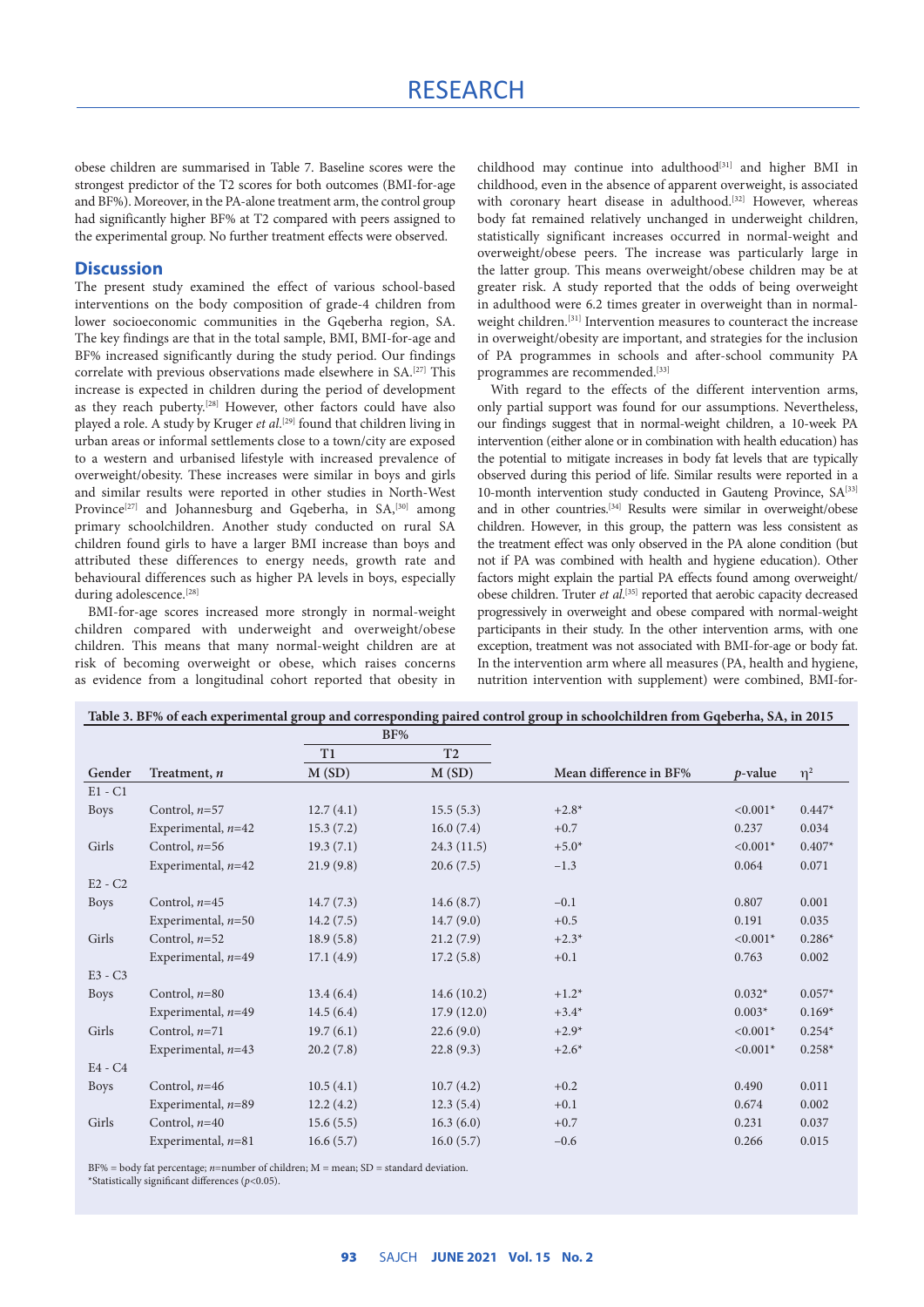# RESEARCH

obese children are summarised in Table 7. Baseline scores were the strongest predictor of the T2 scores for both outcomes (BMI-for-age and BF%). Moreover, in the PA-alone treatment arm, the control group had significantly higher BF% at T2 compared with peers assigned to the experimental group. No further treatment effects were observed.

## **Discussion**

The present study examined the effect of various school-based interventions on the body composition of grade-4 children from lower socioeconomic communities in the Gqeberha region, SA. The key findings are that in the total sample, BMI, BMI-for-age and BF% increased significantly during the study period. Our findings correlate with previous observations made elsewhere in SA.[27] This increase is expected in children during the period of development as they reach puberty.<sup>[28]</sup> However, other factors could have also played a role. A study by Kruger *et al*. [29] found that children living in urban areas or informal settlements close to a town/city are exposed to a western and urbanised lifestyle with increased prevalence of overweight/obesity. These increases were similar in boys and girls and similar results were reported in other studies in North-West Province<sup>[27]</sup> and Johannesburg and Gqeberha, in  $SA<sub>1</sub><sup>[30]</sup>$  among primary schoolchildren. Another study conducted on rural SA children found girls to have a larger BMI increase than boys and attributed these differences to energy needs, growth rate and behavioural differences such as higher PA levels in boys, especially during adolescence.<sup>[28]</sup>

BMI-for-age scores increased more strongly in normal-weight children compared with underweight and overweight/obese children. This means that many normal-weight children are at risk of becoming overweight or obese, which raises concerns as evidence from a longitudinal cohort reported that obesity in childhood may continue into adulthood<sup>[31]</sup> and higher BMI in childhood, even in the absence of apparent overweight, is associated with coronary heart disease in adulthood.<sup>[32]</sup> However, whereas body fat remained relatively unchanged in underweight children, statistically significant increases occurred in normal-weight and overweight/obese peers. The increase was particularly large in the latter group. This means overweight/obese children may be at greater risk. A study reported that the odds of being overweight in adulthood were 6.2 times greater in overweight than in normalweight children.<sup>[31]</sup> Intervention measures to counteract the increase in overweight/obesity are important, and strategies for the inclusion of PA programmes in schools and after-school community PA programmes are recommended.<sup>[33]</sup>

With regard to the effects of the different intervention arms, only partial support was found for our assumptions. Nevertheless, our findings suggest that in normal-weight children, a 10-week PA intervention (either alone or in combination with health education) has the potential to mitigate increases in body fat levels that are typically observed during this period of life. Similar results were reported in a 10-month intervention study conducted in Gauteng Province, SA<sup>[33]</sup> and in other countries.[34] Results were similar in overweight/obese children. However, in this group, the pattern was less consistent as the treatment effect was only observed in the PA alone condition (but not if PA was combined with health and hygiene education). Other factors might explain the partial PA effects found among overweight/ obese children. Truter et al.<sup>[35]</sup> reported that aerobic capacity decreased progressively in overweight and obese compared with normal-weight participants in their study. In the other intervention arms, with one exception, treatment was not associated with BMI-for-age or body fat. In the intervention arm where all measures (PA, health and hygiene, nutrition intervention with supplement) were combined, BMI-for-

|             |                      |           |                | Table 3. BF% of each experimental group and corresponding paired control group in schoolchildren from Gqeberha, SA, in 2015 |            |          |
|-------------|----------------------|-----------|----------------|-----------------------------------------------------------------------------------------------------------------------------|------------|----------|
|             |                      |           | BF%            |                                                                                                                             |            |          |
|             |                      | T1        | T <sub>2</sub> |                                                                                                                             |            |          |
| Gender      | Treatment, n         | M(SD)     | M(SD)          | Mean difference in BF%                                                                                                      | $p$ -value | $\eta^2$ |
| $E1 - C1$   |                      |           |                |                                                                                                                             |            |          |
| <b>Boys</b> | Control, $n=57$      | 12.7(4.1) | 15.5(5.3)      | $+2.8*$                                                                                                                     | $< 0.001*$ | $0.447*$ |
|             | Experimental, $n=42$ | 15.3(7.2) | 16.0(7.4)      | $+0.7$                                                                                                                      | 0.237      | 0.034    |
| Girls       | Control, $n=56$      | 19.3(7.1) | 24.3(11.5)     | $+5.0*$                                                                                                                     | $< 0.001*$ | $0.407*$ |
|             | Experimental, $n=42$ | 21.9(9.8) | 20.6(7.5)      | $-1.3$                                                                                                                      | 0.064      | 0.071    |
| $E2 - C2$   |                      |           |                |                                                                                                                             |            |          |
| <b>Boys</b> | Control, $n=45$      | 14.7(7.3) | 14.6(8.7)      | $-0.1$                                                                                                                      | 0.807      | 0.001    |
|             | Experimental, $n=50$ | 14.2(7.5) | 14.7(9.0)      | $+0.5$                                                                                                                      | 0.191      | 0.035    |
| Girls       | Control, $n=52$      | 18.9(5.8) | 21.2(7.9)      | $+2.3*$                                                                                                                     | $< 0.001*$ | $0.286*$ |
|             | Experimental, $n=49$ | 17.1(4.9) | 17.2(5.8)      | $+0.1$                                                                                                                      | 0.763      | 0.002    |
| $E3 - C3$   |                      |           |                |                                                                                                                             |            |          |
| <b>Boys</b> | Control, $n=80$      | 13.4(6.4) | 14.6(10.2)     | $+1.2*$                                                                                                                     | $0.032*$   | $0.057*$ |
|             | Experimental, $n=49$ | 14.5(6.4) | 17.9(12.0)     | $+3.4*$                                                                                                                     | $0.003*$   | $0.169*$ |
| Girls       | Control, $n=71$      | 19.7(6.1) | 22.6(9.0)      | $+2.9*$                                                                                                                     | $< 0.001*$ | $0.254*$ |
|             | Experimental, $n=43$ | 20.2(7.8) | 22.8(9.3)      | $+2.6*$                                                                                                                     | $< 0.001*$ | $0.258*$ |
| $E4 - C4$   |                      |           |                |                                                                                                                             |            |          |
| <b>Boys</b> | Control, $n=46$      | 10.5(4.1) | 10.7(4.2)      | $+0.2$                                                                                                                      | 0.490      | 0.011    |
|             | Experimental, $n=89$ | 12.2(4.2) | 12.3(5.4)      | $+0.1$                                                                                                                      | 0.674      | 0.002    |

BF% = body fat percentage; *n*=number of children; M = mean; SD = standard deviation. \*Statistically significant differences (*p*<0.05).

Girls Control, *n*=40 15.6 (5.5) 16.3 (6.0) +0.7 0.231 0.037

Experimental, *n*=81 16.6 (5.7) 16.0 (5.7) –0.6 0.266 0.015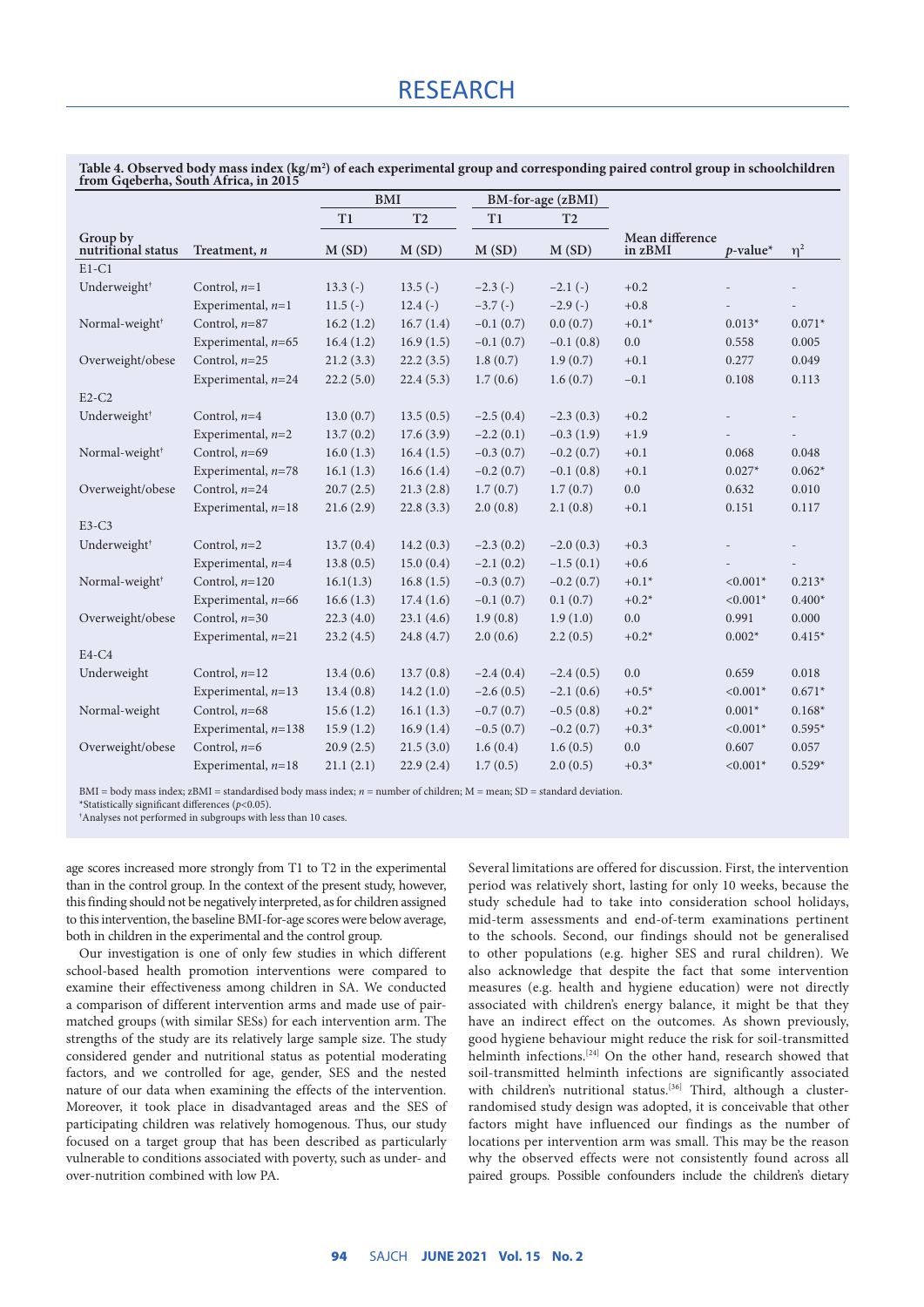|                                |                       | <b>BMI</b> |                |             | BM-for-age (zBMI) |                            |             |                          |
|--------------------------------|-----------------------|------------|----------------|-------------|-------------------|----------------------------|-------------|--------------------------|
|                                |                       | T1         | T <sub>2</sub> | T1          | T <sub>2</sub>    |                            |             |                          |
| Group by<br>nutritional status | Treatment, n          | M(SD)      | M(SD)          | M(SD)       | M(SD)             | Mean difference<br>in zBMI | $p$ -value* | $\eta^2$                 |
| $E1-C1$                        |                       |            |                |             |                   |                            |             |                          |
| Underweight <sup>†</sup>       | Control, $n=1$        | $13.3(-)$  | $13.5(-)$      | $-2.3(-)$   | $-2.1(-)$         | $+0.2$                     |             |                          |
|                                | Experimental, $n=1$   | $11.5(-)$  | $12.4(-)$      | $-3.7(-)$   | $-2.9(-)$         | $+0.8$                     |             |                          |
| Normal-weight <sup>+</sup>     | Control, $n=87$       | 16.2(1.2)  | 16.7(1.4)      | $-0.1(0.7)$ | 0.0(0.7)          | $+0.1*$                    | $0.013*$    | $0.071*$                 |
|                                | Experimental, $n=65$  | 16.4(1.2)  | 16.9(1.5)      | $-0.1(0.7)$ | $-0.1(0.8)$       | 0.0                        | 0.558       | 0.005                    |
| Overweight/obese               | Control, $n=25$       | 21.2(3.3)  | 22.2(3.5)      | 1.8(0.7)    | 1.9(0.7)          | $+0.1$                     | 0.277       | 0.049                    |
|                                | Experimental, $n=24$  | 22.2(5.0)  | 22.4(5.3)      | 1.7(0.6)    | 1.6(0.7)          | $-0.1$                     | 0.108       | 0.113                    |
| $E2-C2$                        |                       |            |                |             |                   |                            |             |                          |
| Underweight <sup>†</sup>       | Control, $n=4$        | 13.0(0.7)  | 13.5(0.5)      | $-2.5(0.4)$ | $-2.3(0.3)$       | $+0.2$                     |             |                          |
|                                | Experimental, $n=2$   | 13.7(0.2)  | 17.6(3.9)      | $-2.2(0.1)$ | $-0.3(1.9)$       | $+1.9$                     |             | $\overline{\phantom{a}}$ |
| Normal-weight <sup>†</sup>     | Control, $n=69$       | 16.0(1.3)  | 16.4(1.5)      | $-0.3(0.7)$ | $-0.2(0.7)$       | $+0.1$                     | 0.068       | 0.048                    |
|                                | Experimental, $n=78$  | 16.1(1.3)  | 16.6(1.4)      | $-0.2(0.7)$ | $-0.1(0.8)$       | $+0.1$                     | $0.027*$    | $0.062*$                 |
| Overweight/obese               | Control, $n=24$       | 20.7(2.5)  | 21.3(2.8)      | 1.7(0.7)    | 1.7(0.7)          | 0.0                        | 0.632       | 0.010                    |
|                                | Experimental, $n=18$  | 21.6(2.9)  | 22.8(3.3)      | 2.0(0.8)    | 2.1(0.8)          | $+0.1$                     | 0.151       | 0.117                    |
| $E3-C3$                        |                       |            |                |             |                   |                            |             |                          |
| Underweight <sup>+</sup>       | Control, $n=2$        | 13.7(0.4)  | 14.2(0.3)      | $-2.3(0.2)$ | $-2.0(0.3)$       | $+0.3$                     |             |                          |
|                                | Experimental, $n=4$   | 13.8(0.5)  | 15.0(0.4)      | $-2.1(0.2)$ | $-1.5(0.1)$       | $+0.6$                     |             |                          |
| Normal-weight <sup>+</sup>     | Control, $n=120$      | 16.1(1.3)  | 16.8(1.5)      | $-0.3(0.7)$ | $-0.2(0.7)$       | $+0.1*$                    | $< 0.001*$  | $0.213*$                 |
|                                | Experimental, $n=66$  | 16.6(1.3)  | 17.4(1.6)      | $-0.1(0.7)$ | 0.1(0.7)          | $+0.2*$                    | $< 0.001*$  | $0.400*$                 |
| Overweight/obese               | Control, $n=30$       | 22.3(4.0)  | 23.1(4.6)      | 1.9(0.8)    | 1.9(1.0)          | 0.0                        | 0.991       | 0.000                    |
|                                | Experimental, $n=21$  | 23.2(4.5)  | 24.8(4.7)      | 2.0(0.6)    | 2.2(0.5)          | $+0.2*$                    | $0.002*$    | $0.415*$                 |
| $E4-C4$                        |                       |            |                |             |                   |                            |             |                          |
| Underweight                    | Control, $n=12$       | 13.4(0.6)  | 13.7(0.8)      | $-2.4(0.4)$ | $-2.4(0.5)$       | 0.0                        | 0.659       | 0.018                    |
|                                | Experimental, $n=13$  | 13.4(0.8)  | 14.2(1.0)      | $-2.6(0.5)$ | $-2.1(0.6)$       | $+0.5*$                    | $< 0.001*$  | $0.671*$                 |
| Normal-weight                  | Control, $n=68$       | 15.6(1.2)  | 16.1(1.3)      | $-0.7(0.7)$ | $-0.5(0.8)$       | $+0.2*$                    | $0.001*$    | $0.168*$                 |
|                                | Experimental, $n=138$ | 15.9(1.2)  | 16.9(1.4)      | $-0.5(0.7)$ | $-0.2(0.7)$       | $+0.3*$                    | $< 0.001*$  | $0.595*$                 |
| Overweight/obese               | Control, $n=6$        | 20.9(2.5)  | 21.5(3.0)      | 1.6(0.4)    | 1.6(0.5)          | 0.0                        | 0.607       | 0.057                    |
|                                | Experimental, $n=18$  | 21.1(2.1)  | 22.9(2.4)      | 1.7(0.5)    | 2.0(0.5)          | $+0.3*$                    | $< 0.001*$  | $0.529*$                 |

Table 4. Observed body mass index (kg/m<sup>2</sup>) of each experimental group and corresponding paired control group in schoolchildren<br>from Gqeberha, South Africa, in 2015

BMI = body mass index; zBMI = standardised body mass index; *n* = number of children; M = mean; SD = standard deviation.

\*Statistically significant differences (*<sup>p</sup>*<0.05). †

Analyses not performed in subgroups with less than 10 cases.

age scores increased more strongly from T1 to T2 in the experimental than in the control group. In the context of the present study, however, this finding should not be negatively interpreted, as for children assigned to this intervention, the baseline BMI-for-age scores were below average, both in children in the experimental and the control group.

Our investigation is one of only few studies in which different school-based health promotion interventions were compared to examine their effectiveness among children in SA. We conducted a comparison of different intervention arms and made use of pairmatched groups (with similar SESs) for each intervention arm. The strengths of the study are its relatively large sample size. The study considered gender and nutritional status as potential moderating factors, and we controlled for age, gender, SES and the nested nature of our data when examining the effects of the intervention. Moreover, it took place in disadvantaged areas and the SES of participating children was relatively homogenous. Thus, our study focused on a target group that has been described as particularly vulnerable to conditions associated with poverty, such as under- and over-nutrition combined with low PA.

Several limitations are offered for discussion. First, the intervention period was relatively short, lasting for only 10 weeks, because the study schedule had to take into consideration school holidays, mid-term assessments and end-of-term examinations pertinent to the schools. Second, our findings should not be generalised to other populations (e.g. higher SES and rural children). We also acknowledge that despite the fact that some intervention measures (e.g. health and hygiene education) were not directly associated with children's energy balance, it might be that they have an indirect effect on the outcomes. As shown previously, good hygiene behaviour might reduce the risk for soil-transmitted helminth infections.<sup>[24]</sup> On the other hand, research showed that soil-transmitted helminth infections are significantly associated with children's nutritional status.<sup>[36]</sup> Third, although a clusterrandomised study design was adopted, it is conceivable that other factors might have influenced our findings as the number of locations per intervention arm was small. This may be the reason why the observed effects were not consistently found across all paired groups. Possible confounders include the children's dietary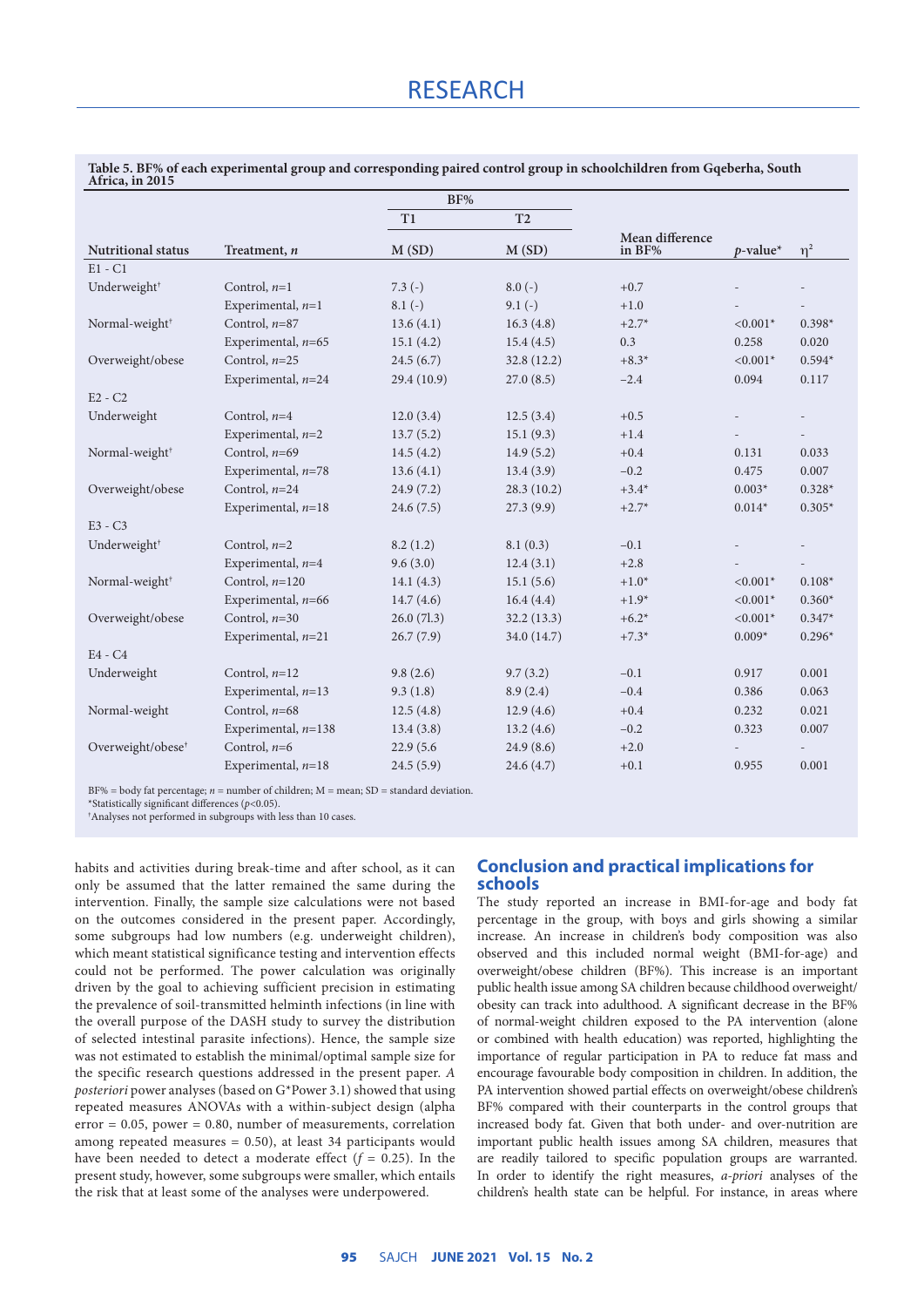| $\frac{1}{2}$                 |                       | BF%          |                |                           |             |          |
|-------------------------------|-----------------------|--------------|----------------|---------------------------|-------------|----------|
|                               |                       | $\rm T1$     | T <sub>2</sub> |                           |             |          |
| <b>Nutritional status</b>     | Treatment, n          | M(SD)        | M(SD)          | Mean difference<br>in BF% | $p$ -value* | $\eta^2$ |
| $E1 - C1$                     |                       |              |                |                           |             |          |
| Underweight <sup>†</sup>      | Control, $n=1$        | $7.3(-)$     | $8.0(-)$       | $+0.7$                    |             |          |
|                               | Experimental, $n=1$   | $8.1(-)$     | $9.1(-)$       | $+1.0$                    |             |          |
| Normal-weight <sup>+</sup>    | Control, $n=87$       | 13.6(4.1)    | 16.3(4.8)      | $+2.7*$                   | $< 0.001*$  | $0.398*$ |
|                               | Experimental, $n=65$  | 15.1(4.2)    | 15.4(4.5)      | 0.3                       | 0.258       | 0.020    |
| Overweight/obese              | Control, $n=25$       | 24.5(6.7)    | 32.8(12.2)     | $+8.3*$                   | $< 0.001*$  | $0.594*$ |
|                               | Experimental, $n=24$  | 29.4(10.9)   | 27.0(8.5)      | $-2.4$                    | 0.094       | 0.117    |
| $E2 - C2$                     |                       |              |                |                           |             |          |
| Underweight                   | Control, $n=4$        | 12.0(3.4)    | 12.5(3.4)      | $+0.5$                    |             |          |
|                               | Experimental, $n=2$   | 13.7(5.2)    | 15.1(9.3)      | $+1.4$                    |             |          |
| Normal-weight <sup>†</sup>    | Control, $n=69$       | 14.5(4.2)    | 14.9(5.2)      | $+0.4$                    | 0.131       | 0.033    |
|                               | Experimental, $n=78$  | 13.6(4.1)    | 13.4(3.9)      | $-0.2$                    | 0.475       | 0.007    |
| Overweight/obese              | Control, $n=24$       | 24.9(7.2)    | 28.3(10.2)     | $+3.4*$                   | $0.003*$    | $0.328*$ |
|                               | Experimental, $n=18$  | 24.6(7.5)    | 27.3(9.9)      | $+2.7*$                   | $0.014*$    | $0.305*$ |
| E3 - C3                       |                       |              |                |                           |             |          |
| Underweight <sup>+</sup>      | Control, $n=2$        | 8.2(1.2)     | 8.1(0.3)       | $-0.1$                    |             |          |
|                               | Experimental, $n=4$   | 9.6(3.0)     | 12.4(3.1)      | $+2.8$                    |             |          |
| Normal-weight <sup>+</sup>    | Control, $n=120$      | 14.1 $(4.3)$ | 15.1(5.6)      | $+1.0*$                   | $< 0.001*$  | $0.108*$ |
|                               | Experimental, $n=66$  | 14.7(4.6)    | 16.4(4.4)      | $+1.9*$                   | $< 0.001*$  | $0.360*$ |
| Overweight/obese              | Control, $n=30$       | 26.0(7l.3)   | 32.2(13.3)     | $+6.2*$                   | $< 0.001*$  | $0.347*$ |
|                               | Experimental, $n=21$  | 26.7(7.9)    | 34.0 (14.7)    | $+7.3*$                   | $0.009*$    | $0.296*$ |
| $E4 - C4$                     |                       |              |                |                           |             |          |
| Underweight                   | Control, $n=12$       | 9.8(2.6)     | 9.7(3.2)       | $-0.1$                    | 0.917       | 0.001    |
|                               | Experimental, $n=13$  | 9.3(1.8)     | 8.9(2.4)       | $-0.4$                    | 0.386       | 0.063    |
| Normal-weight                 | Control, $n=68$       | 12.5(4.8)    | 12.9(4.6)      | $+0.4$                    | 0.232       | 0.021    |
|                               | Experimental, $n=138$ | 13.4(3.8)    | 13.2(4.6)      | $-0.2$                    | 0.323       | 0.007    |
| Overweight/obese <sup>†</sup> | Control, $n=6$        | 22.9 (5.6)   | 24.9(8.6)      | $+2.0$                    |             |          |
|                               | Experimental, $n=18$  | 24.5(5.9)    | 24.6(4.7)      | $+0.1$                    | 0.955       | 0.001    |
|                               |                       |              |                |                           |             |          |

**Table 5. BF% of each experimental group and corresponding paired control group in schoolchildren from Gqeberha, South Africa, in 2015**

BF% = body fat percentage; *n* = number of children; M = mean; SD = standard deviation.

\*Statistically significant differences (*<sup>p</sup>*<0.05). †

Analyses not performed in subgroups with less than 10 cases.

habits and activities during break-time and after school, as it can only be assumed that the latter remained the same during the intervention. Finally, the sample size calculations were not based on the outcomes considered in the present paper. Accordingly, some subgroups had low numbers (e.g. underweight children), which meant statistical significance testing and intervention effects could not be performed. The power calculation was originally driven by the goal to achieving sufficient precision in estimating the prevalence of soil-transmitted helminth infections (in line with the overall purpose of the DASH study to survey the distribution of selected intestinal parasite infections). Hence, the sample size was not estimated to establish the minimal/optimal sample size for the specific research questions addressed in the present paper. *A posteriori* power analyses (based on G\*Power 3.1) showed that using repeated measures ANOVAs with a within-subject design (alpha  $error = 0.05$ , power = 0.80, number of measurements, correlation among repeated measures  $= 0.50$ ), at least 34 participants would have been needed to detect a moderate effect  $(f = 0.25)$ . In the present study, however, some subgroups were smaller, which entails the risk that at least some of the analyses were underpowered.

# **Conclusion and practical implications for schools**

The study reported an increase in BMI-for-age and body fat percentage in the group, with boys and girls showing a similar increase. An increase in children's body composition was also observed and this included normal weight (BMI-for-age) and overweight/obese children (BF%). This increase is an important public health issue among SA children because childhood overweight/ obesity can track into adulthood. A significant decrease in the BF% of normal-weight children exposed to the PA intervention (alone or combined with health education) was reported, highlighting the importance of regular participation in PA to reduce fat mass and encourage favourable body composition in children. In addition, the PA intervention showed partial effects on overweight/obese children's BF% compared with their counterparts in the control groups that increased body fat. Given that both under- and over-nutrition are important public health issues among SA children, measures that are readily tailored to specific population groups are warranted. In order to identify the right measures, *a-priori* analyses of the children's health state can be helpful. For instance, in areas where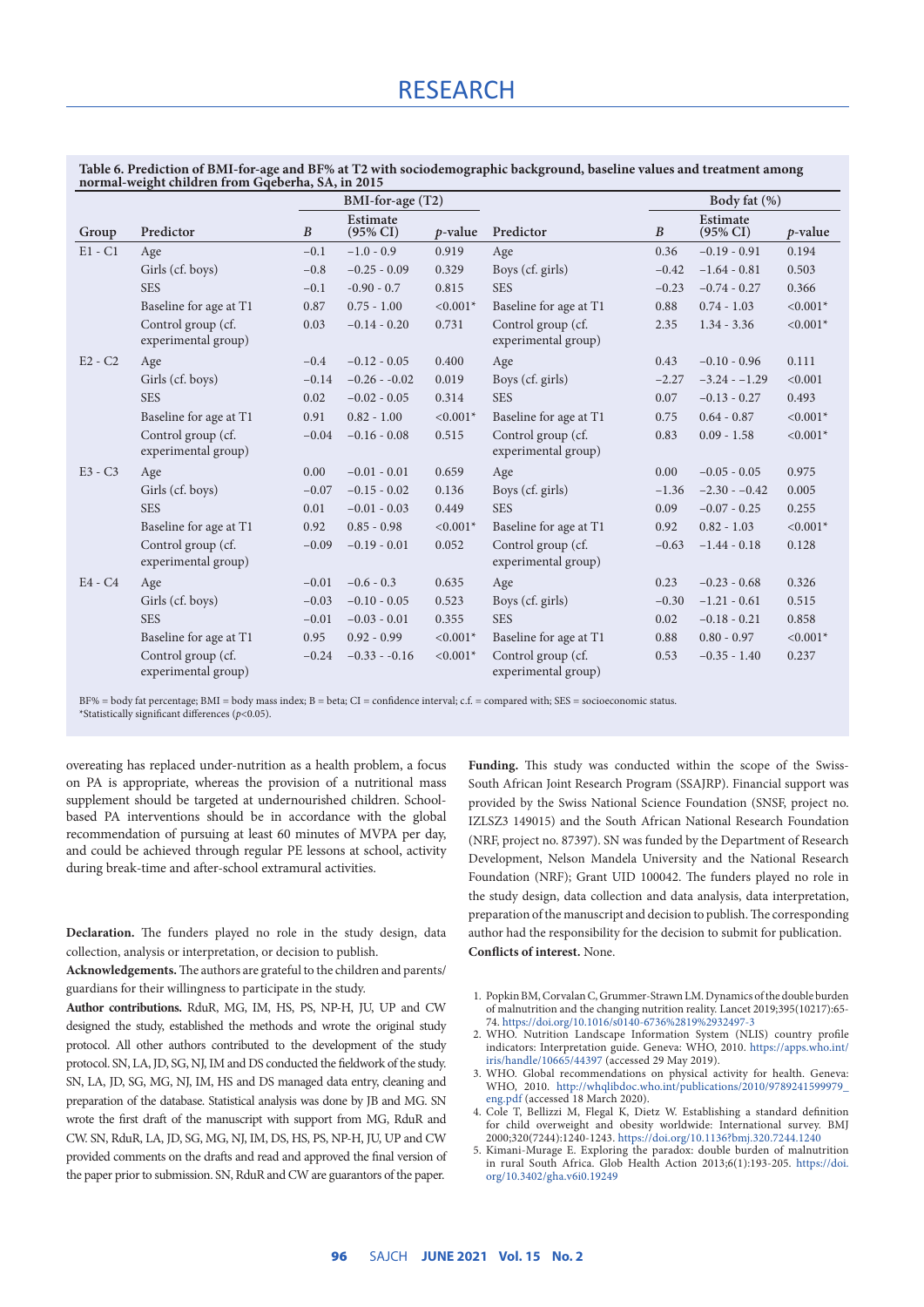|                                                   | Table 6. Prediction of BMI-for-age and BF% at T2 with sociodemographic background, baseline values and treatment among |  |
|---------------------------------------------------|------------------------------------------------------------------------------------------------------------------------|--|
| normal-weight children from Gqeberha, SA, in 2015 |                                                                                                                        |  |

|           |                                           | BMI-for-age (T2) |                                 |            | Body fat (%)                              |                  |                                 |            |
|-----------|-------------------------------------------|------------------|---------------------------------|------------|-------------------------------------------|------------------|---------------------------------|------------|
| Group     | Predictor                                 | $\boldsymbol{B}$ | Estimate<br>$(95\% \text{ CI})$ | $p$ -value | Predictor                                 | $\boldsymbol{B}$ | Estimate<br>$(95\% \text{ CI})$ | $p$ -value |
| $E1 - C1$ | Age                                       | $-0.1$           | $-1.0 - 0.9$                    | 0.919      | Age                                       | 0.36             | $-0.19 - 0.91$                  | 0.194      |
|           | Girls (cf. boys)                          | $-0.8$           | $-0.25 - 0.09$                  | 0.329      | Boys (cf. girls)                          | $-0.42$          | $-1.64 - 0.81$                  | 0.503      |
|           | <b>SES</b>                                | $-0.1$           | $-0.90 - 0.7$                   | 0.815      | <b>SES</b>                                | $-0.23$          | $-0.74 - 0.27$                  | 0.366      |
|           | Baseline for age at T1                    | 0.87             | $0.75 - 1.00$                   | $< 0.001*$ | Baseline for age at T1                    | 0.88             | $0.74 - 1.03$                   | $< 0.001*$ |
|           | Control group (cf.<br>experimental group) | 0.03             | $-0.14 - 0.20$                  | 0.731      | Control group (cf.<br>experimental group) | 2.35             | $1.34 - 3.36$                   | $< 0.001*$ |
| $E2 - C2$ | Age                                       | $-0.4$           | $-0.12 - 0.05$                  | 0.400      | Age                                       | 0.43             | $-0.10 - 0.96$                  | 0.111      |
|           | Girls (cf. boys)                          | $-0.14$          | $-0.26 - 0.02$                  | 0.019      | Boys (cf. girls)                          | $-2.27$          | $-3.24 - -1.29$                 | < 0.001    |
|           | <b>SES</b>                                | 0.02             | $-0.02 - 0.05$                  | 0.314      | <b>SES</b>                                | 0.07             | $-0.13 - 0.27$                  | 0.493      |
|           | Baseline for age at T1                    | 0.91             | $0.82 - 1.00$                   | $< 0.001*$ | Baseline for age at T1                    | 0.75             | $0.64 - 0.87$                   | $< 0.001*$ |
|           | Control group (cf.<br>experimental group) | $-0.04$          | $-0.16 - 0.08$                  | 0.515      | Control group (cf.<br>experimental group) | 0.83             | $0.09 - 1.58$                   | $< 0.001*$ |
| $E3 - C3$ | Age                                       | 0.00             | $-0.01 - 0.01$                  | 0.659      | Age                                       | 0.00             | $-0.05 - 0.05$                  | 0.975      |
|           | Girls (cf. boys)                          | $-0.07$          | $-0.15 - 0.02$                  | 0.136      | Boys (cf. girls)                          | $-1.36$          | $-2.30 - -0.42$                 | 0.005      |
|           | <b>SES</b>                                | 0.01             | $-0.01 - 0.03$                  | 0.449      | <b>SES</b>                                | 0.09             | $-0.07 - 0.25$                  | 0.255      |
|           | Baseline for age at T1                    | 0.92             | $0.85 - 0.98$                   | $< 0.001*$ | Baseline for age at T1                    | 0.92             | $0.82 - 1.03$                   | $< 0.001*$ |
|           | Control group (cf.<br>experimental group) | $-0.09$          | $-0.19 - 0.01$                  | 0.052      | Control group (cf.<br>experimental group) | $-0.63$          | $-1.44 - 0.18$                  | 0.128      |
| $E4 - C4$ | Age                                       | $-0.01$          | $-0.6 - 0.3$                    | 0.635      | Age                                       | 0.23             | $-0.23 - 0.68$                  | 0.326      |
|           | Girls (cf. boys)                          | $-0.03$          | $-0.10 - 0.05$                  | 0.523      | Boys (cf. girls)                          | $-0.30$          | $-1.21 - 0.61$                  | 0.515      |
|           | <b>SES</b>                                | $-0.01$          | $-0.03 - 0.01$                  | 0.355      | <b>SES</b>                                | 0.02             | $-0.18 - 0.21$                  | 0.858      |
|           | Baseline for age at T1                    | 0.95             | $0.92 - 0.99$                   | $< 0.001*$ | Baseline for age at T1                    | 0.88             | $0.80 - 0.97$                   | $< 0.001*$ |
|           | Control group (cf.<br>experimental group) | $-0.24$          | $-0.33 - 0.16$                  | $< 0.001*$ | Control group (cf.<br>experimental group) | 0.53             | $-0.35 - 1.40$                  | 0.237      |

BF% = body fat percentage; BMI = body mass index; B = beta; CI = confidence interval; c.f. = compared with; SES = socioeconomic status. \*Statistically significant differences (*p*<0.05).

overeating has replaced under-nutrition as a health problem, a focus on PA is appropriate, whereas the provision of a nutritional mass supplement should be targeted at undernourished children. Schoolbased PA interventions should be in accordance with the global recommendation of pursuing at least 60 minutes of MVPA per day, and could be achieved through regular PE lessons at school, activity during break-time and after-school extramural activities.

**Declaration.** The funders played no role in the study design, data collection, analysis or interpretation, or decision to publish.

**Acknowledgements.** The authors are grateful to the children and parents/ guardians for their willingness to participate in the study.

**Author contributions.** RduR, MG, IM, HS, PS, NP-H, JU, UP and CW designed the study, established the methods and wrote the original study protocol. All other authors contributed to the development of the study protocol. SN, LA, JD, SG, NJ, IM and DS conducted the fieldwork of the study. SN, LA, JD, SG, MG, NJ, IM, HS and DS managed data entry, cleaning and preparation of the database. Statistical analysis was done by JB and MG. SN wrote the first draft of the manuscript with support from MG, RduR and CW. SN, RduR, LA, JD, SG, MG, NJ, IM, DS, HS, PS, NP-H, JU, UP and CW provided comments on the drafts and read and approved the final version of the paper prior to submission. SN, RduR and CW are guarantors of the paper.

**Funding.** This study was conducted within the scope of the Swiss-South African Joint Research Program (SSAJRP). Financial support was provided by the Swiss National Science Foundation (SNSF, project no. IZLSZ3 149015) and the South African National Research Foundation (NRF, project no. 87397). SN was funded by the Department of Research Development, Nelson Mandela University and the National Research Foundation (NRF); Grant UID 100042. The funders played no role in the study design, data collection and data analysis, data interpretation, preparation of the manuscript and decision to publish. The corresponding author had the responsibility for the decision to submit for publication. **Conflicts of interest.** None.

- 1. Popkin BM, Corvalan C, Grummer-Strawn LM. Dynamics of the double burden of malnutrition and the changing nutrition reality. Lancet 2019;395(10217):65- 74. [https://doi.org/10.1016/s0140-6736%2819%2932497-3](https://doi.org/10.1016%2Fs0140-6736%2819%2932497-3)
- 2. WHO. Nutrition Landscape Information System (NLIS) country profile indicators: Interpretation guide. Geneva: WHO, 2010. [https://apps.who.int/](https://apps.who.int/iris/handle/10665/44397) [iris/handle/10665/44397](https://apps.who.int/iris/handle/10665/44397) (accessed 29 May 2019).
- 3. WHO. Global recommendations on physical activity for health. Geneva: WHO, 2010. [http://whqlibdoc.who.int/publications/2010/9789241599979\\_](http://whqlibdoc.who.int/publications/2010/9789241599979_eng.pdf) [eng.pdf](http://whqlibdoc.who.int/publications/2010/9789241599979_eng.pdf) (accessed 18 March 2020).
- 4. Cole T, Bellizzi M, Flegal K, Dietz W. Establishing a standard definition for child overweight and obesity worldwide: International survey. BMJ 2000;320(7244):1240-1243. [https://doi.org/10.1136?bmj.320.7244.1240](https://doi.org/10.1136%2Fbmj.320.7244.1240)
- 5. Kimani-Murage E. Exploring the paradox: double burden of malnutrition in rural South Africa. Glob Health Action 2013;6(1):193-205. [https://doi.](https://doi.org/10.3402%2Fgha.v6i0.19249) [org/10.3402/gha.v6i0.19249](https://doi.org/10.3402%2Fgha.v6i0.19249)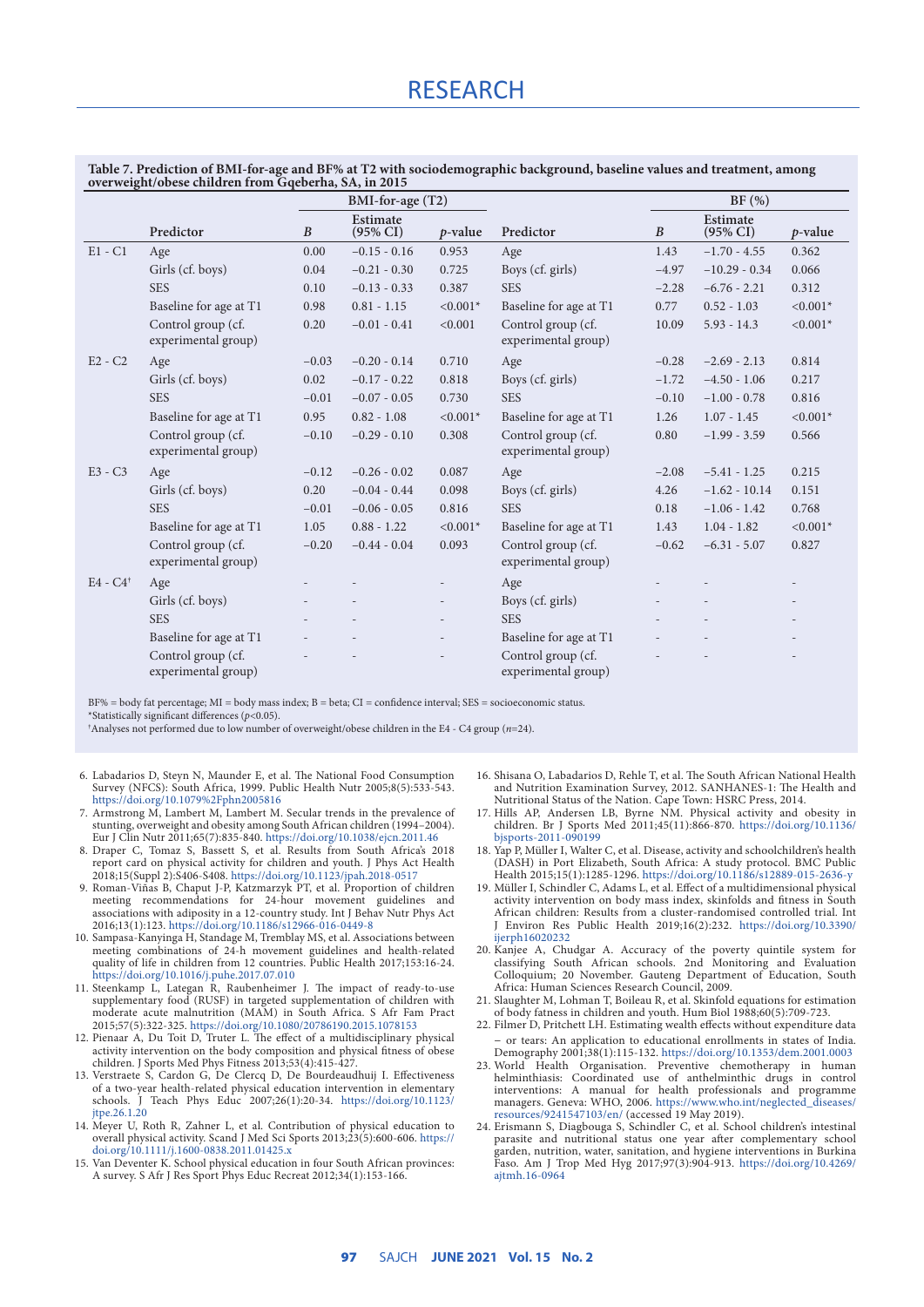# RESEARCH

**Table 7. Prediction of BMI-for-age and BF% at T2 with sociodemographic background, baseline values and treatment, among overweight/obese children from Gqeberha, SA, in 2015**

|                        |                                           | BMI-for-age (T2) |                                 |                          | BF (%)                                    |                  |                                 |                          |
|------------------------|-------------------------------------------|------------------|---------------------------------|--------------------------|-------------------------------------------|------------------|---------------------------------|--------------------------|
|                        | Predictor                                 | $\boldsymbol{B}$ | Estimate<br>$(95\% \text{ CI})$ | $p$ -value               | Predictor                                 | $\boldsymbol{B}$ | Estimate<br>$(95\% \text{ CI})$ | $p$ -value               |
| $E1 - C1$              | Age                                       | 0.00             | $-0.15 - 0.16$                  | 0.953                    | Age                                       | 1.43             | $-1.70 - 4.55$                  | 0.362                    |
|                        | Girls (cf. boys)                          | 0.04             | $-0.21 - 0.30$                  | 0.725                    | Boys (cf. girls)                          | $-4.97$          | $-10.29 - 0.34$                 | 0.066                    |
|                        | <b>SES</b>                                | 0.10             | $-0.13 - 0.33$                  | 0.387                    | <b>SES</b>                                | $-2.28$          | $-6.76 - 2.21$                  | 0.312                    |
|                        | Baseline for age at T1                    | 0.98             | $0.81 - 1.15$                   | $< 0.001*$               | Baseline for age at T1                    | 0.77             | $0.52 - 1.03$                   | $< 0.001*$               |
|                        | Control group (cf.<br>experimental group) | 0.20             | $-0.01 - 0.41$                  | < 0.001                  | Control group (cf.<br>experimental group) | 10.09            | $5.93 - 14.3$                   | $< 0.001*$               |
| $E2 - C2$              | Age                                       | $-0.03$          | $-0.20 - 0.14$                  | 0.710                    | Age                                       | $-0.28$          | $-2.69 - 2.13$                  | 0.814                    |
|                        | Girls (cf. boys)                          | 0.02             | $-0.17 - 0.22$                  | 0.818                    | Boys (cf. girls)                          | $-1.72$          | $-4.50 - 1.06$                  | 0.217                    |
|                        | <b>SES</b>                                | $-0.01$          | $-0.07 - 0.05$                  | 0.730                    | <b>SES</b>                                | $-0.10$          | $-1.00 - 0.78$                  | 0.816                    |
|                        | Baseline for age at T1                    | 0.95             | $0.82 - 1.08$                   | $< 0.001*$               | Baseline for age at T1                    | 1.26             | $1.07 - 1.45$                   | $< 0.001*$               |
|                        | Control group (cf.<br>experimental group) | $-0.10$          | $-0.29 - 0.10$                  | 0.308                    | Control group (cf.<br>experimental group) | 0.80             | $-1.99 - 3.59$                  | 0.566                    |
| $E3 - C3$              | Age                                       | $-0.12$          | $-0.26 - 0.02$                  | 0.087                    | Age                                       | $-2.08$          | $-5.41 - 1.25$                  | 0.215                    |
|                        | Girls (cf. boys)                          | 0.20             | $-0.04 - 0.44$                  | 0.098                    | Boys (cf. girls)                          | 4.26             | $-1.62 - 10.14$                 | 0.151                    |
|                        | <b>SES</b>                                | $-0.01$          | $-0.06 - 0.05$                  | 0.816                    | <b>SES</b>                                | 0.18             | $-1.06 - 1.42$                  | 0.768                    |
|                        | Baseline for age at T1                    | 1.05             | $0.88 - 1.22$                   | $< 0.001*$               | Baseline for age at T1                    | 1.43             | $1.04 - 1.82$                   | $< 0.001*$               |
|                        | Control group (cf.<br>experimental group) | $-0.20$          | $-0.44 - 0.04$                  | 0.093                    | Control group (cf.<br>experimental group) | $-0.62$          | $-6.31 - 5.07$                  | 0.827                    |
| $E4 - C4$ <sup>†</sup> | Age                                       |                  |                                 |                          | Age                                       |                  |                                 |                          |
|                        | Girls (cf. boys)                          |                  |                                 | $\overline{\phantom{0}}$ | Boys (cf. girls)                          |                  |                                 |                          |
|                        | <b>SES</b>                                |                  | $\overline{a}$                  | $\overline{\phantom{0}}$ | <b>SES</b>                                |                  |                                 | $\overline{\phantom{a}}$ |
|                        | Baseline for age at T1                    |                  |                                 |                          | Baseline for age at T1                    |                  |                                 |                          |
|                        | Control group (cf.<br>experimental group) |                  |                                 |                          | Control group (cf.<br>experimental group) |                  |                                 |                          |

BF% = body fat percentage; MI = body mass index; B = beta; CI = confidence interval; SES = socioeconomic status. \*Statistically significant differences (*p*<0.05).

† Analyses not performed due to low number of overweight/obese children in the E4 - C4 group (*n*=24).

- 6. Labadarios D, Steyn N, Maunder E, et al. The National Food Consumption Survey (NFCS): South Africa, 1999. Public Health Nutr 2005;8(5):533-543. <https://doi.org/10.1079%2Fphn2005816>
- 7. Armstrong M, Lambert M, Lambert M. Secular trends in the prevalence of stunting, overweight and obesity among South African children (1994–2004). Eur J Clin Nutr 2011;65(7):835-840. [https://doi.org/10.1038/ejcn.2011.46](https://doi.org/10.1038%2Fejcn.2011.46)
- 8. Draper C, Tomaz S, Bassett S, et al. Results from South Africa's 2018 report card on physical activity for children and youth. J Phys Act Health 2018;15(Suppl 2):S406-S408. [https://doi.org/10.1123/jpah.2018-0517](https://doi.org/10.1123%2Fjpah.2018-0517)
- Roman-Viñas B, Chaput J-P, Katzmarzyk PT, et al. Proportion of children meeting recommendations for 24-hour movement guidelines and associations with adiposity in a 12-country study. Int J Behav Nutr Phys Act 2016;13(1):123. [https://doi.org/10.1186/s12966-016-0449-8](https://doi.org/10.1186%2Fs12966-016-0449-8)
- 10. Sampasa-Kanyinga H, Standage M, Tremblay MS, et al. Associations between meeting combinations of 24-h movement guidelines and health-related quality of life in children from 12 countries. Public Health 2017;153:16-24. [https://doi.org/10.1016/j.puhe.2017.07.010](https://doi.org/10.1016%2Fj.puhe.2017.07.010)
- 11. Steenkamp L, Lategan R, Raubenheimer J. The impact of ready-to-use supplementary food (RUSF) in targeted supplementation of children with moderate acute malnutrition (MAM) in South Africa. S Afr Fam Pract 2015;57(5):322-325. [https://doi.org/10.1080/20786190.2015.1078153](https://doi.org/10.1080%2F20786190.2015.1078153)
- 12. Pienaar A, Du Toit D, Truter L. The effect of a multidisciplinary physical activity intervention on the body composition and physical fitness of obese children. J Sports Med Phys Fitness 2013;53(4):415-427.
- 13. Verstraete S, Cardon G, De Clercq D, De Bourdeaudhuij I. Effectiveness of a two-year health-related physical education intervention in elementary schools. J Teach Phys Educ 2007;26(1):20-34. [https://doi.org/10.1123/](https://doi.org/10.1123%2Fjtpe.26.1.20) pe.26.1.20
- 14. Meyer U, Roth R, Zahner L, et al. Contribution of physical education to overall physical activity. Scand J Med Sci Sports 2013;23(5):600-606. [https://](https://doi.org/10.1111%2Fj.1600-0838.2011.01425.x) [doi.org/10.1111/j.1600-0838.2011.01425.x](https://doi.org/10.1111%2Fj.1600-0838.2011.01425.x)
- 15. Van Deventer K. School physical education in four South African provinces: A survey. S Afr J Res Sport Phys Educ Recreat 2012;34(1):153-166.
- 16. Shisana O, Labadarios D, Rehle T, et al. The South African National Health and Nutrition Examination Survey, 2012. SANHANES-1: The Health and Nutritional Status of the Nation. Cape Town: HSRC Press, 2014.
- 17. Hills AP, Andersen LB, Byrne NM. Physical activity and obesity in children. Br J Sports Med 2011;45(11):866-870. [https://doi.org/10.1136/](https://doi.org/10.1136%2Fbjsports-2011-090199) [bjsports-2011-090199](https://doi.org/10.1136%2Fbjsports-2011-090199)
- 18. Yap P, Müller I, Walter C, et al. Disease, activity and schoolchildren's health (DASH) in Port Elizabeth, South Africa: A study protocol. BMC Public Health 2015;15(1):1285-1296. [https://doi.org/10.1186/s12889-015-2636-y](https://doi.org/10.1186%2Fs12889-015-2636-y)
- 19. Müller I, Schindler C, Adams L, et al. Effect of a multidimensional physical activity intervention on body mass index, skinfolds and fitness in South African children: Results from a cluster-randomised controlled trial. Int J Environ Res Public Health 2019;16(2):232. [https://doi.org/10.3390/](https://doi.org/10.3390%2Fijerph16020232) [ijerph16020232](https://doi.org/10.3390%2Fijerph16020232)
- 20. Kanjee A, Chudgar A. Accuracy of the poverty quintile system for classifying South African schools. 2nd Monitoring and Evaluation Colloquium; 20 November. Gauteng Department of Education, South Africa: Human Sciences Research Council, 2009.
- 21. Slaughter M, Lohman T, Boileau R, et al. Skinfold equations for estimation of body fatness in children and youth. Hum Biol 1988;60(5):709-723.
- 22. Filmer D, Pritchett LH. Estimating wealth effects without expenditure data – or tears: An application to educational enrollments in states of India. Demography 2001;38(1):115-132. [https://doi.org/10.1353/dem.2001.0003](https://doi.org/10.1353%2Fdem.2001.0003)
- 23. World Health Organisation. Preventive chemotherapy in human helminthiasis: Coordinated use of anthelminthic drugs in control interventions: A manual for health professionals and programme managers. Geneva: WHO, 2006. [https://www.who.int/neglected\\_diseases/](https://www.who.int/neglected_diseases/resources/9241547103/en/) [resources/9241547103/en/](https://www.who.int/neglected_diseases/resources/9241547103/en/) (accessed 19 May 2019).
- 24. Erismann S, Diagbouga S, Schindler C, et al. School children's intestinal parasite and nutritional status one year after complementary school garden, nutrition, water, sanitation, and hygiene interventions in Burkina Faso. Am J Trop Med Hyg 2017;97(3):904-913. [https://doi.org/10.4269/](https://doi.org/10.4269/ajtmh.16-0964) [ajtmh.16-0964](https://doi.org/10.4269/ajtmh.16-0964)